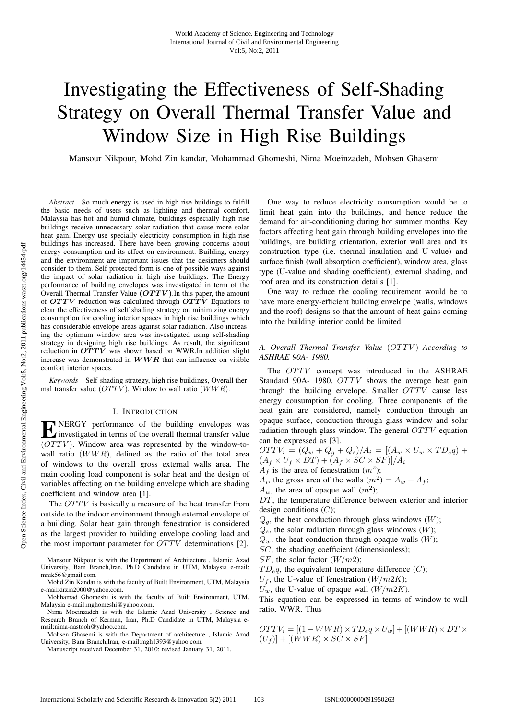# Investigating the Effectiveness of Self-Shading Strategy on Overall Thermal Transfer Value and Window Size in High Rise Buildings

Mansour Nikpour, Mohd Zin kandar, Mohammad Ghomeshi, Nima Moeinzadeh, Mohsen Ghasemi

*Abstract*—So much energy is used in high rise buildings to fulfill the basic needs of users such as lighting and thermal comfort. Malaysia has hot and humid climate, buildings especially high rise buildings receive unnecessary solar radiation that cause more solar heat gain. Energy use specially electricity consumption in high rise buildings has increased. There have been growing concerns about energy consumption and its effect on environment. Building, energy and the environment are important issues that the designers should consider to them. Self protected form is one of possible ways against the impact of solar radiation in high rise buildings. The Energy performance of building envelopes was investigated in term of the Overall Thermal Transfer Value **(***OT TV* **)**.In this paper, the amount of *OT TV* reduction was calculated through *OT TV* Equations to clear the effectiveness of self shading strategy on minimizing energy consumption for cooling interior spaces in high rise buildings which has considerable envelope areas against solar radiation. Also increasing the optimum window area was investigated using self-shading strategy in designing high rise buildings. As result, the significant reduction in  $OTTV$  was shown based on WWR.In addition slight increase was demonstrated in *WWR* that can influence on visible comfort interior spaces.

*Keywords*—Self-shading strategy, high rise buildings, Overall thermal transfer value  $(OTTV)$ , Window to wall ratio  $(WWR)$ .

#### I. INTRODUCTION

 $\sum$  NERGY performance of the building envelopes was<br>investigated in terms of the overall thermal transfer value  $(OTTV)$ . Window area was represented by the window-towall ratio  $(WWR)$ , defined as the ratio of the total area of windows to the overall gross external walls area. The main cooling load component is solar heat and the design of variables affecting on the building envelope which are shading coefficient and window area [1].

The *OTTV* is basically a measure of the heat transfer from outside to the indoor environment through external envelope of a building. Solar heat gain through fenestration is considered as the largest provider to building envelope cooling load and the most important parameter for OTTV determinations [2].

Mansour Nikpour is with the Department of Architecture , Islamic Azad University, Bam Branch,Iran, Ph.D Candidate in UTM, Malaysia e-mail: mnik56@gmail.com.

Mohd Zin Kandar is with the faculty of Built Environment, UTM, Malaysia e-mail:drzin2000@yahoo.com.

Mohhamad Ghomeshi is with the faculty of Built Environment, UTM, Malaysia e-mail:mghomeshi@yahoo.com.

Nima Moeinzadeh is with the Islamic Azad University , Science and Research Branch of Kerman, Iran, Ph.D Candidate in UTM, Malaysia email:nima-nastooh@yahoo.com.

Mohsen Ghasemi is with the Department of architecture , Islamic Azad University, Bam Branch,Iran, e-mail:mgh1393@yahoo.com.

Manuscript received December 31, 2010; revised January 31, 2011.

One way to reduce electricity consumption would be to limit heat gain into the buildings, and hence reduce the demand for air-conditioning during hot summer months. Key factors affecting heat gain through building envelopes into the buildings, are building orientation, exterior wall area and its construction type (i.e. thermal insulation and U-value) and surface finish (wall absorption coefficient), window area, glass type (U-value and shading coefficient), external shading, and roof area and its construction details [1].

One way to reduce the cooling requirement would be to have more energy-efficient building envelope (walls, windows and the roof) designs so that the amount of heat gains coming into the building interior could be limited.

## *A. Overall Thermal Transfer Value* (OTTV ) *According to ASHRAE 90A- 1980.*

The OTTV concept was introduced in the ASHRAE Standard 90A- 1980. OTTV shows the average heat gain through the building envelope. Smaller  $OTTV$  cause less energy consumption for cooling. Three components of the heat gain are considered, namely conduction through an opaque surface, conduction through glass window and solar radiation through glass window. The general OTTV equation can be expressed as [3].

 $OTTV_i = (Q_w + Q_g + Q_s)/A_i = [(A_w \times U_w \times TD_e q) +$  $(A_f \times U_f \times DT) + (A_f \times SC \times SF) / A_i$ 

- $A_f$  is the area of fenestration  $(m^2)$ ;
- $A_i$ , the gross area of the walls  $(m^2) = A_w + A_f$ ;

 $A_w$ , the area of opaque wall  $(m^2)$ ;

DT, the temperature difference between exterior and interior design conditions  $(C)$ ;

 $Q<sub>a</sub>$ , the heat conduction through glass windows (W);

 $Q_s$ , the solar radiation through glass windows  $(W)$ ;

 $Q_w$ , the heat conduction through opaque walls (W);

- SC, the shading coefficient (dimensionless);
- SF, the solar factor  $(W/m2)$ ;

 $TD_{e}q$ , the equivalent temperature difference  $(C)$ ;

 $U_f$ , the U-value of fenestration ( $W/m2K$ );

 $U_w$ , the U-value of opaque wall  $(W/m2K)$ .

This equation can be expressed in terms of window-to-wall ratio, WWR. Thus

$$
OTTV_i = [(1 - WWR) \times TD_e q \times U_w] + [(WWR) \times DT \times (U_f)] + [(WWR) \times SC \times SF]
$$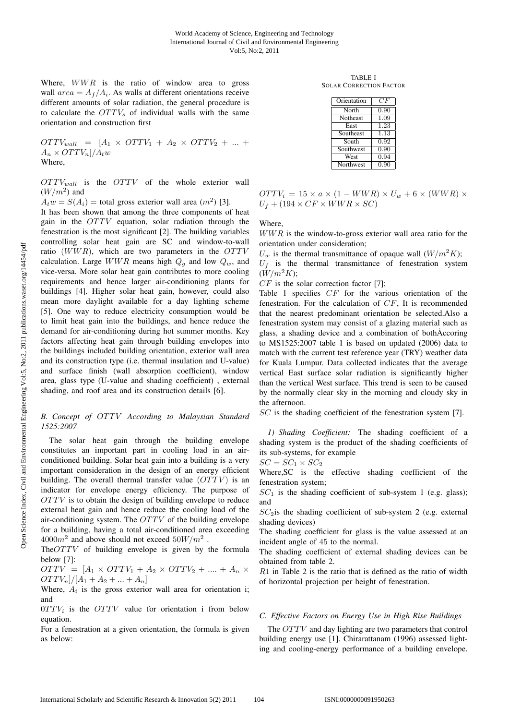Where,  $WWR$  is the ratio of window area to gross wall  $area = A_f/A_i$ . As walls at different orientations receive different amounts of solar radiation, the general procedure is to calculate the  $OTTV<sub>s</sub>$  of individual walls with the same orientation and construction first

$$
OTTV_{wall} = [A_1 \times OTTV_1 + A_2 \times OTTV_2 + ... + A_n \times OTTV_n]/A_t w
$$
  
Where,

 $OTTV_{wall}$  is the  $OTTV$  of the whole exterior wall  $(W/m^2)$  and

 $A_t w = S(A_i)$  = total gross exterior wall area  $(m^2)$  [3].

It has been shown that among the three components of heat gain in the OTTV equation, solar radiation through the fenestration is the most significant [2]. The building variables controlling solar heat gain are SC and window-to-wall ratio  $(WWR)$ , which are two parameters in the  $OTTV$ calculation. Large  $WWR$  means high  $Q<sub>g</sub>$  and low  $Q<sub>w</sub>$ , and vice-versa. More solar heat gain contributes to more cooling requirements and hence larger air-conditioning plants for buildings [4]. Higher solar heat gain, however, could also mean more daylight available for a day lighting scheme [5]. One way to reduce electricity consumption would be to limit heat gain into the buildings, and hence reduce the demand for air-conditioning during hot summer months. Key factors affecting heat gain through building envelopes into the buildings included building orientation, exterior wall area and its construction type (i.e. thermal insulation and U-value) and surface finish (wall absorption coefficient), window area, glass type (U-value and shading coefficient) , external shading, and roof area and its construction details [6].

# *B. Concept of* OTTV *According to Malaysian Standard 1525:2007*

The solar heat gain through the building envelope constitutes an important part in cooling load in an airconditioned building. Solar heat gain into a building is a very important consideration in the design of an energy efficient building. The overall thermal transfer value  $(OTTV)$  is an indicator for envelope energy efficiency. The purpose of OTTV is to obtain the design of building envelope to reduce external heat gain and hence reduce the cooling load of the air-conditioning system. The  $OTTV$  of the building envelope for a building, having a total air-conditioned area exceeding  $4000m^2$  and above should not exceed  $50W/m^2$ .

TheOTTV of building envelope is given by the formula below [7]:

 $OTTV = [A_1 \times OTTV_1 + A_2 \times OTTV_2 + \dots + A_n \times$  $OTTV_n | / [A_1 + A_2 + ... + A_n]$ 

Where,  $A_i$  is the gross exterior wall area for orientation i; and

 $0TTV_i$  is the  $OTTV$  value for orientation i from below equation.

For a fenestration at a given orientation, the formula is given as below:

TABLE I SOLAR CORRECTION FACTOR

| Orientation      | CF   |
|------------------|------|
| North            | 0.90 |
| <b>Notheast</b>  | 1.09 |
| East             | 1.23 |
| Southeast        | 1.13 |
| South            | 0.92 |
| Southwest        | 0.90 |
| West             | 0.94 |
| <b>Northwest</b> | 0.90 |

 $OTTV_i = 15 \times a \times (1 - WWR) \times U_w + 6 \times (WWR) \times$  $U_f + (194 \times CF \times WWR \times SC)$ 

Where,

WWR is the window-to-gross exterior wall area ratio for the orientation under consideration;

 $U_w$  is the thermal transmittance of opaque wall  $(W/m^2K)$ ;  $U_f$  is the thermal transmittance of fenestration system  $(W/m^2K)$ ;

 $CF$  is the solar correction factor [7];

Table 1 specifies CF for the various orientation of the fenestration. For the calculation of CF, It is recommended that the nearest predominant orientation be selected.Also a fenestration system may consist of a glazing material such as glass, a shading device and a combination of bothAccoring to MS1525:2007 table 1 is based on updated (2006) data to match with the current test reference year (TRY) weather data for Kuala Lumpur. Data collected indicates that the average vertical East surface solar radiation is significantly higher than the vertical West surface. This trend is seen to be caused by the normally clear sky in the morning and cloudy sky in the afternoon.

SC is the shading coefficient of the fenestration system [7].

*1) Shading Coefficient:* The shading coefficient of a shading system is the product of the shading coefficients of its sub-systems, for example

 $SC = SC_1 \times SC_2$ 

Where,SC is the effective shading coefficient of the fenestration system;

 $SC<sub>1</sub>$  is the shading coefficient of sub-system 1 (e.g. glass); and

 $SC_2$  is the shading coefficient of sub-system 2 (e.g. external shading devices)

The shading coefficient for glass is the value assessed at an incident angle of 45 to the normal.

The shading coefficient of external shading devices can be obtained from table 2.

R1 in Table 2 is the ratio that is defined as the ratio of width of horizontal projection per height of fenestration.

## *C. Effective Factors on Energy Use in High Rise Buildings*

The *OTTV* and day lighting are two parameters that control building energy use [1]. Chirarattanam (1996) assessed lighting and cooling-energy performance of a building envelope.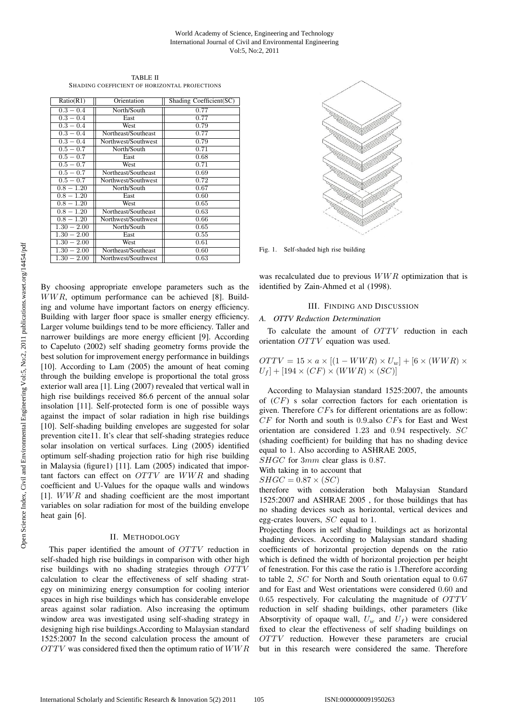#### World Academy of Science, Engineering and Technology International Journal of Civil and Environmental Engineering Vol:5, No:2, 2011

TABLE II SHADING COEFFICIENT OF HORIZONTAL PROJECTIONS

| Ratio(R1)     | Orientation         | Shading Coefficient(SC) |
|---------------|---------------------|-------------------------|
|               |                     |                         |
| $0.3 - 0.4$   | North/South         | 0.77                    |
| $0.3 - 0.4$   | East                | 0.77                    |
| $0.3 - 0.4$   | West                | 0.79                    |
| $0.3 - 0.4$   | Northeast/Southeast | 0.77                    |
| $0.3 - 0.4$   | Northwest/Southwest | 0.79                    |
| $0.5 - 0.7$   | North/South         | 0.71                    |
| $0.5 - 0.7$   | East                | 0.68                    |
| $0.5 - 0.7$   | West                | 0.71                    |
| $0.5 - 0.7$   | Northeast/Southeast | 0.69                    |
| $0.5 - 0.7$   | Northwest/Southwest | 0.72                    |
| $0.8 - 1.20$  | North/South         | 0.67                    |
| $0.8 - 1.20$  | East                | 0.60                    |
| $0.8 - 1.20$  | West                | 0.65                    |
| $0.8 - 1.20$  | Northeast/Southeast | 0.63                    |
| $0.8 - 1.20$  | Northwest/Southwest | 0.66                    |
| $1.30 - 2.00$ | North/South         | 0.65                    |
| $1.30 - 2.00$ | East                | 0.55                    |
| $1.30 - 2.00$ | West                | 0.61                    |
| $1.30 - 2.00$ | Northeast/Southeast | 0.60                    |
| $1.30 - 2.00$ | Northwest/Southwest | 0.63                    |

By choosing appropriate envelope parameters such as the WWR, optimum performance can be achieved [8]. Building and volume have important factors on energy efficiency. Building with larger floor space is smaller energy efficiency. Larger volume buildings tend to be more efficiency. Taller and narrower buildings are more energy efficient [9]. According to Capeluto (2002) self shading geometry forms provide the best solution for improvement energy performance in buildings [10]. According to Lam (2005) the amount of heat coming through the building envelope is proportional the total gross exterior wall area [1]. Ling (2007) revealed that vertical wall in high rise buildings received 86.6 percent of the annual solar insolation [11]. Self-protected form is one of possible ways against the impact of solar radiation in high rise buildings [10]. Self-shading building envelopes are suggested for solar prevention cite11. It's clear that self-shading strategies reduce solar insolation on vertical surfaces. Ling (2005) identified optimum self-shading projection ratio for high rise building in Malaysia (figure1) [11]. Lam (2005) indicated that important factors can effect on OTTV are WWR and shading coefficient and U-Values for the opaque walls and windows [1]. WWR and shading coefficient are the most important variables on solar radiation for most of the building envelope heat gain [6].

## II. METHODOLOGY

This paper identified the amount of OTTV reduction in self-shaded high rise buildings in comparison with other high rise buildings with no shading strategies through OTTV calculation to clear the effectiveness of self shading strategy on minimizing energy consumption for cooling interior spaces in high rise buildings which has considerable envelope areas against solar radiation. Also increasing the optimum window area was investigated using self-shading strategy in designing high rise buildings.According to Malaysian standard 1525:2007 In the second calculation process the amount of  $OTTV$  was considered fixed then the optimum ratio of  $WWR$ 



Fig. 1. Self-shaded high rise building

was recalculated due to previous  $WWR$  optimization that is identified by Zain-Ahmed et al (1998).

# III. FINDING AND DISCUSSION

#### *A. OTTV Reduction Determination*

To calculate the amount of OTTV reduction in each orientation OTTV equation was used.

$$
\begin{array}{l} OTTV=15\times a\times[(1-WWR)\times U_w]+[6\times(WWR)\times\\ U_f]+[194\times (CF)\times (WWR)\times (SC)]\end{array}
$$

According to Malaysian standard 1525:2007, the amounts of  $(CF)$  s solar correction factors for each orientation is given. Therefore CFs for different orientations are as follow:  $CF$  for North and south is 0.9.also  $CFs$  for East and West orientation are considered 1.23 and 0.94 respectively. SC (shading coefficient) for building that has no shading device equal to 1. Also according to ASHRAE 2005,

SHGC for 3mm clear glass is 0.87.

With taking in to account that

$$
SHGC = 0.87 \times (SC)
$$

therefore with consideration both Malaysian Standard 1525:2007 and ASHRAE 2005 , for those buildings that has no shading devices such as horizontal, vertical devices and egg-crates louvers, SC equal to 1.

Projecting floors in self shading buildings act as horizontal shading devices. According to Malaysian standard shading coefficients of horizontal projection depends on the ratio which is defined the width of horizontal projection per height of fenestration. For this case the ratio is 1.Therefore according to table 2, SC for North and South orientation equal to 0.67 and for East and West orientations were considered 0.60 and  $0.65$  respectively. For calculating the magnitude of  $OTTV$ reduction in self shading buildings, other parameters (like Absorptivity of opaque wall,  $U_w$  and  $U_f$ ) were considered fixed to clear the effectiveness of self shading buildings on OTTV reduction. However these parameters are crucial but in this research were considered the same. Therefore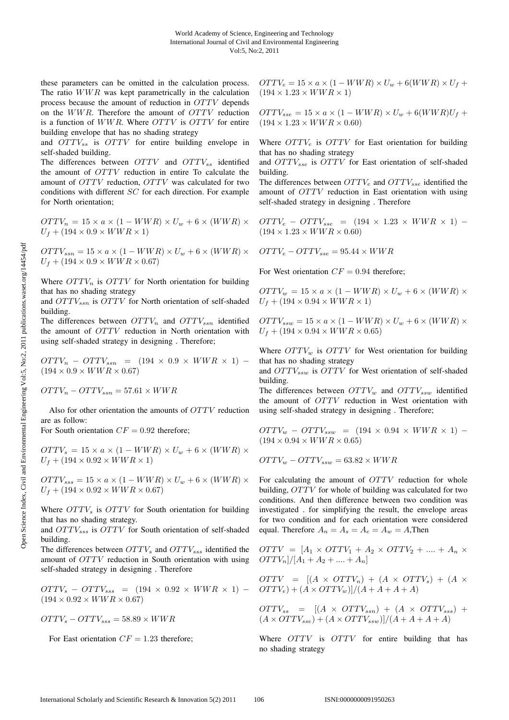these parameters can be omitted in the calculation process. The ratio WWR was kept parametrically in the calculation process because the amount of reduction in OTTV depends on the WWR. Therefore the amount of OTTV reduction is a function of WWR. Where OTTV is OTTV for entire building envelope that has no shading strategy

and  $OTTV_{ss}$  is  $OTTV$  for entire building envelope in self-shaded building.

The differences between  $OTTV$  and  $OTTV_{ss}$  identified the amount of OTTV reduction in entire To calculate the amount of OTTV reduction, OTTV was calculated for two conditions with different SC for each direction. For example for North orientation;

 $OTTV_n = 15 \times a \times (1 - WWR) \times U_w + 6 \times (WWR) \times$  $U_f + (194 \times 0.9 \times WWR \times 1)$ 

 $OTTV_{ssn} = 15 \times a \times (1 - WWR) \times U_w + 6 \times (WWR) \times$  $U_f + (194 \times 0.9 \times WWR \times 0.67)$ 

Where  $OTTV_n$  is  $OTTV$  for North orientation for building that has no shading strategy

and  $OTTV_{ssn}$  is  $OTTV$  for North orientation of self-shaded building.

The differences between  $OTTV_n$  and  $OTTV_{ssn}$  identified the amount of OTTV reduction in North orientation with using self-shaded strategy in designing . Therefore;

 $OTTV_n - OTTV_{ssn} = (194 \times 0.9 \times WWR \times 1) (194 \times 0.9 \times WWR \times 0.67)$ 

 $OTTV_n - OTTV_{ssn} = 57.61 \times WWR$ 

Also for other orientation the amounts of OTTV reduction are as follow:

For South orientation  $CF = 0.92$  therefore;

 $OTTV_s = 15 \times a \times (1 - WWR) \times U_w + 6 \times (WWR) \times$  $U_f + (194 \times 0.92 \times WWR \times 1)$ 

 $OTTV_{sss} = 15 \times a \times (1 - WWR) \times U_w + 6 \times (WWR) \times$  $U_f + (194 \times 0.92 \times WWR \times 0.67)$ 

Where  $OTTV<sub>s</sub>$  is  $OTTV$  for South orientation for building that has no shading strategy.

and  $OTTV_{sss}$  is  $OTTV$  for South orientation of self-shaded building.

The differences between  $OTTV_s$  and  $OTTV_{sss}$  identified the amount of OTTV reduction in South orientation with using self-shaded strategy in designing . Therefore

 $OTTV_s - OTTV_{sss} = (194 \times 0.92 \times WWR \times 1) (194 \times 0.92 \times WWR \times 0.67)$ 

 $OTTV_s - OTTV_{sss} = 58.89 \times WWR$ 

For East orientation  $CF = 1.23$  therefore;

 $OTTV_e = 15 \times a \times (1 - WWR) \times U_w + 6(WWR) \times U_f +$  $(194 \times 1.23 \times WWR \times 1)$ 

 $OTTV_{sse} = 15 \times a \times (1 - WWR) \times U_w + 6(WWR)U_f +$  $(194 \times 1.23 \times WWR \times 0.60)$ 

Where  $OTTV_e$  is  $OTTV$  for East orientation for building that has no shading strategy

and  $OTTV_{sse}$  is  $OTTV$  for East orientation of self-shaded building.

The differences between  $OTTV_e$  and  $OTTV_{sse}$  identified the amount of OTTV reduction in East orientation with using self-shaded strategy in designing . Therefore

 $OTTV_e - OTTV_{sse} = (194 \times 1.23 \times WWR \times 1) (194 \times 1.23 \times WWR \times 0.60)$ 

 $OTTV_e - OTTV_{sse} = 95.44 \times WWR$ 

For West orientation  $CF = 0.94$  therefore;

 $OTTV_w = 15 \times a \times (1 - WWR) \times U_w + 6 \times (WWR) \times$  $U_f + (194 \times 0.94 \times WWR \times 1)$ 

$$
OTTV_{ssw} = 15 \times a \times (1 - WWR) \times U_w + 6 \times (WWR) \times U_f + (194 \times 0.94 \times WWR \times 0.65)
$$

Where  $OTTV_w$  is  $OTTV$  for West orientation for building that has no shading strategy

and  $OTTV_{ssw}$  is  $OTTV$  for West orientation of self-shaded building.

The differences between  $OTTV_w$  and  $OTTV_{ssw}$  identified the amount of OTTV reduction in West orientation with using self-shaded strategy in designing . Therefore;

 $OTTV_w - OTTV_{ssw} = (194 \times 0.94 \times WWR \times 1) (194 \times 0.94 \times WWR \times 0.65)$ 

$$
OTTV_w - OTTV_{ssw} = 63.82 \times WWR
$$

For calculating the amount of OTTV reduction for whole building, OTTV for whole of building was calculated for two conditions. And then difference between two condition was investigated . for simplifying the result, the envelope areas for two condition and for each orientation were considered equal. Therefore  $A_n = A_s = A_e = A_w = A$ , Then

 $OTTV = [A_1 \times OTTV_1 + A_2 \times OTTV_2 + \dots + A_n \times$  $OTTV_n]/[A_1 + A_2 + \ldots + A_n]$ 

$$
OTTV = [(A \times OTTV_n) + (A \times OTTV_s) + (A \times OTTV_e) + (A \times OTTV_w)]/(A + A + A + A)
$$

 $OTTV_{ss} = [(A \times OTTV_{ssn}) + (A \times OTTV_{sss}) + (A \times OTTV_{sss}) + (A \times OTTV_{sss})]$  $(A \times OTTV_{sse}) + (A \times OTTV_{ssw})/(A+A+A+A)$ 

Where OTTV is OTTV for entire building that has no shading strategy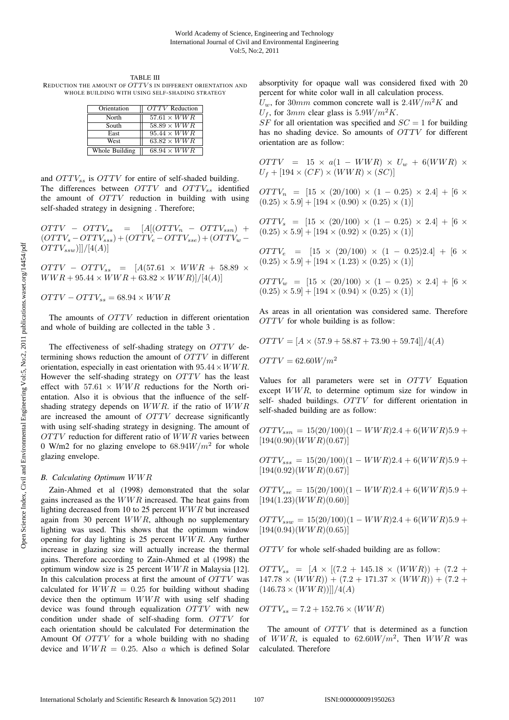TABLE III REDUCTION THE AMOUNT OF OTTVS IN DIFFERENT ORIENTATION AND WHOLE BUILDING WITH USING SELF-SHADING STRATEGY

| Orientation    | OTTV Reduction     |
|----------------|--------------------|
| North          | $57.61 \times WWR$ |
| South          | $58.89 \times WWR$ |
| East           | $95.44 \times WWR$ |
| West           | $63.82 \times WWR$ |
| Whole Building | $68.94 \times WWR$ |

and  $OTTV_{ss}$  is  $OTTV$  for entire of self-shaded building. The differences between  $OTTV$  and  $OTTV_{ss}$  identified the amount of OTTV reduction in building with using self-shaded strategy in designing . Therefore;

 $OTTV - OTTV_{ss} = [A[(OTTV_n - OTTV_{ssn}) +$  $(OTTV_s - OTTV_{sss}) + (OTTV_e - OTTV_{sse}) + (OTTV_w OTTV_{ssw})$ ]]/[4(A)]

 $OTTV - OTTV_{ss} = [A(57.61 \times WWR + 58.89 \times$  $WWR + 95.44 \times WWR + 63.82 \times WWR$ ]/[4(A)]

 $OTTV - OTTV_{ss} = 68.94 \times WWR$ 

The amounts of *OTTV* reduction in different orientation and whole of building are collected in the table 3 .

The effectiveness of self-shading strategy on OTTV determining shows reduction the amount of OTTV in different orientation, especially in east orientation with  $95.44 \times WWR$ . However the self-shading strategy on OTTV has the least effect with  $57.61 \times WWR$  reductions for the North orientation. Also it is obvious that the influence of the selfshading strategy depends on WWR. if the ratio of WWR are increased the amount of OTTV decrease significantly with using self-shading strategy in designing. The amount of  $OTTV$  reduction for different ratio of  $WWR$  varies between 0 W/m2 for no glazing envelope to  $68.94W/m^2$  for whole glazing envelope.

#### *B. Calculating Optimum* WWR

Zain-Ahmed et al (1998) demonstrated that the solar gains increased as the  $WWR$  increased. The heat gains from lighting decreased from 10 to 25 percent WWR but increased again from 30 percent  $WWR$ , although no supplementary lighting was used. This shows that the optimum window opening for day lighting is 25 percent WWR. Any further increase in glazing size will actually increase the thermal gains. Therefore according to Zain-Ahmed et al (1998) the optimum window size is 25 percent  $WWR$  in Malaysia [12]. In this calculation process at first the amount of  $OTTV$  was calculated for  $WWR = 0.25$  for building without shading device then the optimum  $WWR$  with using self shading device was found through equalization OTTV with new condition under shade of self-shading form. OTTV for each orientation should be calculated For determination the Amount Of OTTV for a whole building with no shading device and  $WWR = 0.25$ . Also a which is defined Solar

absorptivity for opaque wall was considered fixed with 20 percent for white color wall in all calculation process.  $U_w$ , for 30mm common concrete wall is 2.4 $W/m^2 K$  and

 $U_f$ , for 3mm clear glass is 5.9W/ $m^2K$ .

 $SF$  for all orientation was specified and  $SC = 1$  for building has no shading device. So amounts of OTTV for different orientation are as follow:

 $OTTV$  = 15 ×  $a(1 - WWR) \times U_w + 6(WWR) \times$  $U_f + [194 \times (CF) \times (WWR) \times (SC)]$ 

 $OTTV_n = [15 \times (20/100) \times (1 - 0.25) \times 2.4] + [6 \times$  $(0.25) \times 5.9$  +  $[194 \times (0.90) \times (0.25) \times (1)]$ 

 $OTTV_s = [15 \times (20/100) \times (1 - 0.25) \times 2.4] + [6 \times$  $(0.25) \times 5.9$  + [194  $\times$  (0.92)  $\times$  (0.25)  $\times$  (1)]

 $OTTV_e$  =  $[15 \times (20/100) \times (1 - 0.25)2.4] + [6 \times$  $(0.25) \times 5.9$  + [194  $\times$  (1.23)  $\times$  (0.25)  $\times$  (1)]

 $OTTV_w = [15 \times (20/100) \times (1 - 0.25) \times 2.4] + [6 \times$  $(0.25) \times 5.9$  + [194  $\times$  (0.94)  $\times$  (0.25)  $\times$  (1)]

As areas in all orientation was considered same. Therefore OTTV for whole building is as follow:

$$
OTTV = [A \times (57.9 + 58.87 + 73.90 + 59.74]]/4(A)
$$

 $OTTV = 62.60 W/m^2$ 

Values for all parameters were set in OTTV Equation except WWR, to determine optimum size for window in self- shaded buildings. OTTV for different orientation in self-shaded building are as follow:

 $OTTV_{ssn} = 15(20/100)(1 - WWR)2.4 + 6(WWR)5.9 +$  $[194(0.90)(WWR)(0.67)]$ 

 $OTTV_{sss} = 15(20/100)(1 - WWR)2.4 + 6(WWR)5.9 +$  $[194(0.92)(WWR)(0.67)]$ 

 $OTTV_{sse} = 15(20/100)(1 - WWR)2.4 + 6(WWR)5.9 +$  $[194(1.23)(WWR)(0.60)]$ 

 $OTTV_{ssw} = 15(20/100)(1 - WWR)2.4 + 6(WWR)5.9 +$  $[194(0.94)(WWR)(0.65)]$ 

OTTV for whole self-shaded building are as follow:

 $OTTV_{ss}$  = [A × [(7.2 + 145.18 × (WWR)) + (7.2 +  $147.78 \times (WWR) + (7.2 + 171.37 \times (WWR)) + (7.2 +$  $(146.73 \times (WWR))$ ]]/4(A)

 $OTTV_{ss} = 7.2 + 152.76 \times (WWR)$ 

The amount of *OTTV* that is determined as a function of WWR, is equaled to  $62.60W/m^2$ , Then WWR was calculated. Therefore